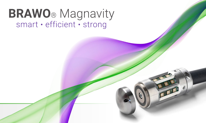# **BRAWO**® Magnavity<br>smart · efficient · strong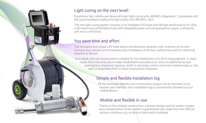#### Light curing on the next level!

Experience fast, reliable and above all smart light curing with "BRAWO® Magnavity". Guaranteed with the usual installation safety and high quality from BRAWO® Tech.

The new light curing system consists of an intelligent LED head with 96 high-performance UV LEDs, a 50-metre long combination hose with integrated power and compressed air supply, a retraction unit and a control box.

#### You save time and effort

The innovative and unique LED head allows simultaneous retraction with inversion of the liner. Curing is thus carried out immediately after installation of the liner, without the need for additional insertion of the eel.

As a result, only one access point is needed for the rehabilitation of a 50-m long segment. In many cases, this is the only way to make rehabilitation possible at all, since no additional access opening (e.g. inspection opening, shaft) is necessary, which cannot be created easily or only with considerable effort in most construction measures.

#### Simple and flexible installation log

All the necessary data for your construction project can be recorded via an intuitive user interface. Your installation log is conveniently retrieved on your mobile device.

#### Mobile and flexible in use

Thanks to the modular construction, compact design and low system weight, easy transportation of the system is guaranteed even under the most difficult access conditions, e.g. on plots of land and in buildings.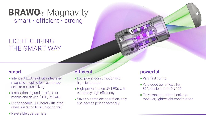# **BRAWO**® Magnavity smart · efficient · strong

## LiGht CURING THE SMART WAY

#### **smart**

- **n** Intelligent LED head with integrated magnetic coupling for electromagnetic remote unlocking
- **n** Installation log and interface to mobile end device (USB, W-LAN)
- <sup>n</sup> Exchangeable LED head with integrated operating hours monitoring
- <sup>n</sup> Reversible dual camera

## **efficient**

- **ELOW power consumption with** high light output
- **High-performance UV LEDs with** extremely high efficiency
- **Saves a complete operation, only** one access point necessary

## **powerful**

- $\blacksquare$  Very fast curing
- Very good bend flexibility, 87° possible from DN 100
- **Easy transportation thanks to** modular, lightweight construction